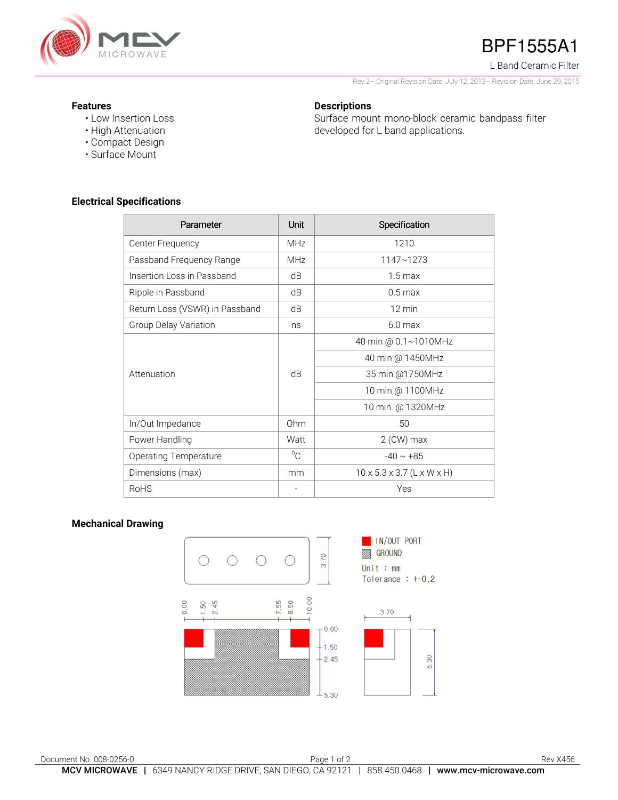

## BPF1555A1

L Band Ceramic Filter

Rev 2– Original Revision Date: July 12, 2013– Revision Date: June 29, 2015

Surface mount mono-block ceramic bandpass filter

developed for L band applications.

#### **Features**

- Low Insertion Loss
- High Attenuation
- Compact Design
- Surface Mount

### **Electrical Specifications**

| Parameter                      | <b>Unit</b> | Specification                          |
|--------------------------------|-------------|----------------------------------------|
| Center Frequency               | <b>MHz</b>  | 1210                                   |
| Passband Frequency Range       | <b>MHz</b>  | 1147~1273                              |
| Insertion Loss in Passband     | dB          | $1.5 \,\mathrm{max}$                   |
| Ripple in Passband             | dB          | $0.5 \,\mathrm{max}$                   |
| Return Loss (VSWR) in Passband | dB          | $12 \text{ min}$                       |
| Group Delay Variation          | ns          | $6.0$ max                              |
| Attenuation                    | dB          | 40 min @ 0.1~1010MHz                   |
|                                |             | 40 min @ 1450MHz                       |
|                                |             | 35 min @1750MHz                        |
|                                |             | 10 min @ 1100MHz                       |
|                                |             | 10 min. @ 1320MHz                      |
| In/Out Impedance               | 0hm         | 50                                     |
| Power Handling                 | Watt        | $2$ (CW) max                           |
| <b>Operating Temperature</b>   | $^{\circ}C$ | $-40 \sim +85$                         |
| Dimensions (max)               | mm          | $10 \times 5.3 \times 3.7$ (L x W x H) |
| <b>RoHS</b>                    |             | Yes                                    |

**Descriptions** 

#### **Mechanical Drawing**